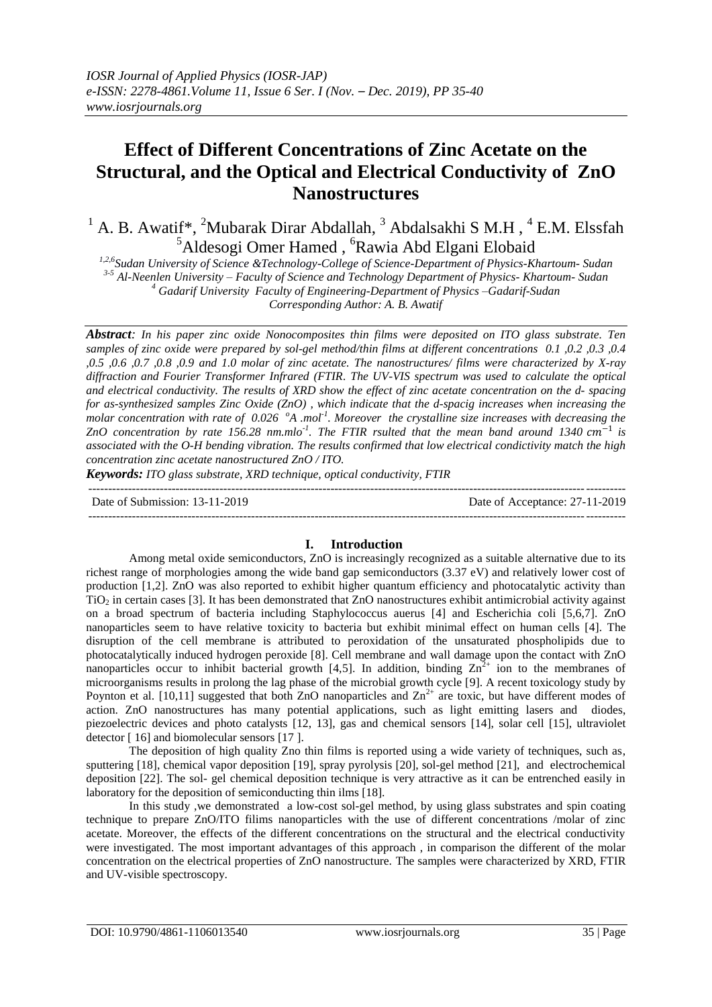# **Effect of Different Concentrations of Zinc Acetate on the Structural, and the Optical and Electrical Conductivity of ZnO Nanostructures**

<sup>1</sup> A. B. Awatif<sup>\*</sup>, <sup>2</sup>Mubarak Dirar Abdallah, <sup>3</sup> Abdalsakhi S M.H, <sup>4</sup> E.M. Elssfah <sup>5</sup>Aldesogi Omer Hamed, <sup>6</sup>Rawia Abd Elgani Elobaid

*1,2,6Sudan University of Science &Technology-College of Science-Department of Physics-Khartoum- Sudan 3-5 Al-Neenlen University – Faculty of Science and Technology Department of Physics- Khartoum- Sudan <sup>4</sup> Gadarif University Faculty of Engineering-Department of Physics –Gadarif-Sudan Corresponding Author: A. B. Awatif*

*Abstract: In his paper zinc oxide Nonocomposites thin films were deposited on ITO glass substrate. Ten samples of zinc oxide were prepared by sol-gel method/thin films at different concentrations 0.1 ,0.2 ,0.3 ,0.4 ,0.5 ,0.6 ,0.7 ,0.8 ,0.9 and 1.0 molar of zinc acetate. The nanostructures/ films were characterized by X-ray diffraction and Fourier Transformer Infrared (FTIR. The UV-VIS spectrum was used to calculate the optical and electrical conductivity. The results of XRD show the effect of zinc acetate concentration on the d- spacing for as-synthesized samples Zinc Oxide (ZnO) , which indicate that the d-spacig increases when increasing the molar concentration with rate of 0.026 <sup>o</sup>A .mol-1 . Moreover the crystalline size increases with decreasing the ZnO concentration by rate* 156.28 nm.mlo<sup>-1</sup>. The FTIR rsulted that the mean band around 1340 cm<sup>-1</sup> is *associated with the O-H bending vibration. The results confirmed that low electrical condictivity match the high concentration zinc acetate nanostructured ZnO / ITO.*

*Keywords: ITO glass substrate, XRD technique, optical conductivity, FTIR*

| Date of Submission: 13-11-2019 | Date of Acceptance: 27-11-2019 |
|--------------------------------|--------------------------------|
|                                |                                |

## **I. Introduction**

Among metal oxide semiconductors, ZnO is increasingly recognized as a suitable alternative due to its richest range of morphologies among the wide band gap semiconductors (3.37 eV) and relatively lower cost of production [1,2]. ZnO was also reported to exhibit higher quantum efficiency and photocatalytic activity than  $TiO<sub>2</sub>$  in certain cases [3]. It has been demonstrated that  $ZnO$  nanostructures exhibit antimicrobial activity against on a broad spectrum of bacteria including Staphylococcus auerus [4] and Escherichia coli [5,6,7]. ZnO nanoparticles seem to have relative toxicity to bacteria but exhibit minimal effect on human cells [4]. The disruption of the cell membrane is attributed to peroxidation of the unsaturated phospholipids due to photocatalytically induced hydrogen peroxide [8]. Cell membrane and wall damage upon the contact with ZnO nanoparticles occur to inhibit bacterial growth [4,5]. In addition, binding  $\text{Zn}^{2+}$  ion to the membranes of microorganisms results in prolong the lag phase of the microbial growth cycle [9]. A recent toxicology study by Poynton et al. [10,11] suggested that both ZnO nanoparticles and  $Zn^{2+}$  are toxic, but have different modes of action. ZnO nanostructures has many potential applications, such as light emitting lasers and diodes, piezoelectric devices and photo catalysts [12, 13], gas and chemical sensors [14], solar cell [15], ultraviolet detector [ 16] and biomolecular sensors [17 ].

The deposition of high quality Zno thin films is reported using a wide variety of techniques, such as, sputtering [18], chemical vapor deposition [19], spray pyrolysis [20], sol-gel method [21], and electrochemical deposition [22]. The sol- gel chemical deposition technique is very attractive as it can be entrenched easily in laboratory for the deposition of semiconducting thin ilms [18].

In this study ,we demonstrated a low-cost sol-gel method, by using glass substrates and spin coating technique to prepare ZnO/ITO filims nanoparticles with the use of different concentrations /molar of zinc acetate. Moreover, the effects of the different concentrations on the structural and the electrical conductivity were investigated. The most important advantages of this approach , in comparison the different of the molar concentration on the electrical properties of ZnO nanostructure. The samples were characterized by XRD, FTIR and UV-visible spectroscopy.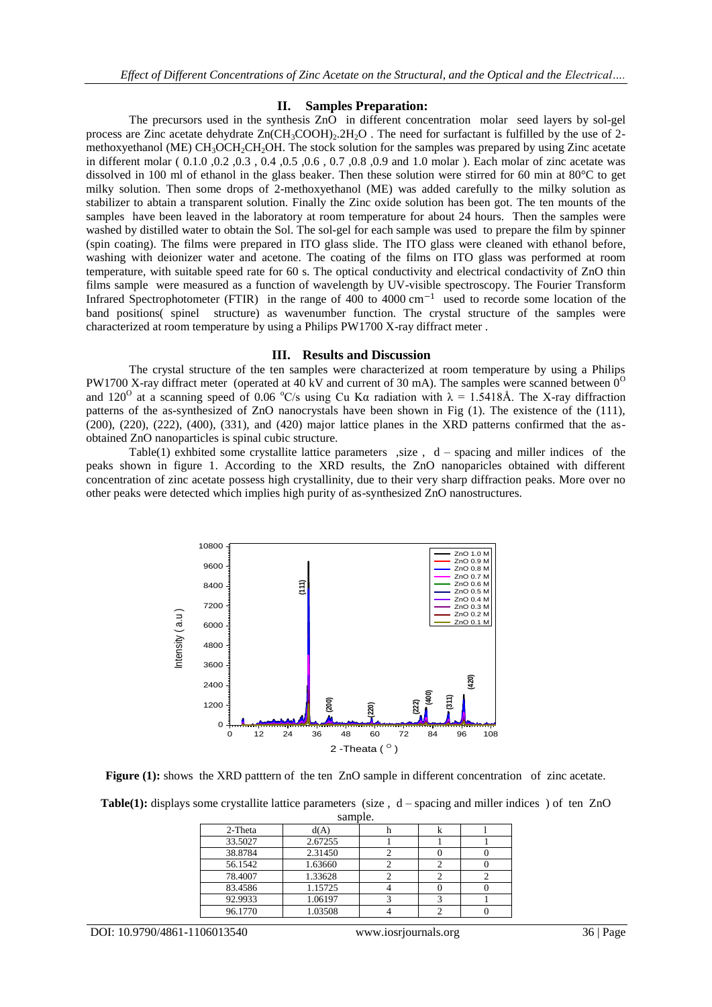### **II. Samples Preparation:**

The precursors used in the synthesis ZnO in different concentration molar seed layers by sol-gel process are Zinc acetate dehydrate  $Zn(CH_3COOH)_2.2H_2O$ . The need for surfactant is fulfilled by the use of 2methoxyethanol (ME) CH<sub>3</sub>OCH<sub>2</sub>CH<sub>2</sub>OH. The stock solution for the samples was prepared by using Zinc acetate in different molar ( 0.1.0 ,0.2 ,0.3 , 0.4 ,0.5 ,0.6 , 0.7 ,0.8 ,0.9 and 1.0 molar ). Each molar of zinc acetate was dissolved in 100 ml of ethanol in the glass beaker. Then these solution were stirred for 60 min at 80°C to get milky solution. Then some drops of 2-methoxyethanol (ME) was added carefully to the milky solution as stabilizer to abtain a transparent solution. Finally the Zinc oxide solution has been got. The ten mounts of the samples have been leaved in the laboratory at room temperature for about 24 hours. Then the samples were washed by distilled water to obtain the Sol. The sol-gel for each sample was used to prepare the film by spinner (spin coating). The films were prepared in ITO glass slide. The ITO glass were cleaned with ethanol before, washing with deionizer water and acetone. The coating of the films on ITO glass was performed at room temperature, with suitable speed rate for 60 s. The optical conductivity and electrical condactivity of ZnO thin films sample were measured as a function of wavelength by UV-visible spectroscopy. The Fourier Transform Infrared Spectrophotometer (FTIR) in the range of 400 to 4000  $\text{cm}^{-1}$  used to recorde some location of the band positions( spinel structure) as wavenumber function. The crystal structure of the samples were characterized at room temperature by using a Philips PW1700 X-ray diffract meter .

#### **III. Results and Discussion**

The crystal structure of the ten samples were characterized at room temperature by using a Philips PW1700 X-ray diffract meter (operated at 40 kV and current of 30 mA). The samples were scanned between  $0^{\circ}$ and 120<sup>o</sup> at a scanning speed of 0.06 <sup>o</sup>C/s using Cu K $\alpha$  radiation with  $\lambda = 1.5418$ Å. The X-ray diffraction patterns of the as-synthesized of ZnO nanocrystals have been shown in Fig (1). The existence of the (111),  $(200)$ ,  $(220)$ ,  $(222)$ ,  $(400)$ ,  $(331)$ , and  $(420)$  major lattice planes in the XRD patterns confirmed that the asobtained ZnO nanoparticles is spinal cubic structure.

Table(1) exhbited some crystallite lattice parameters , size,  $d$  – spacing and miller indices of the peaks shown in figure 1. According to the XRD results, the ZnO nanoparicles obtained with different concentration of zinc acetate possess high crystallinity, due to their very sharp diffraction peaks. More over no other peaks were detected which implies high purity of as-synthesized ZnO nanostructures.



**Figure (1):** shows the XRD patttern of the ten ZnO sample in different concentration of zinc acetate.

| <b>Table(1):</b> displays some crystallite lattice parameters (size, $d$ – spacing and miller indices) of ten ZnO |  |  |  |  |  |  |
|-------------------------------------------------------------------------------------------------------------------|--|--|--|--|--|--|
| comple                                                                                                            |  |  |  |  |  |  |

| sailiult. |         |  |  |  |  |
|-----------|---------|--|--|--|--|
| 2-Theta   | d(A)    |  |  |  |  |
| 33.5027   | 2.67255 |  |  |  |  |
| 38.8784   | 2.31450 |  |  |  |  |
| 56.1542   | 1.63660 |  |  |  |  |
| 78.4007   | 1.33628 |  |  |  |  |
| 83.4586   | 1.15725 |  |  |  |  |
| 92.9933   | 1.06197 |  |  |  |  |
| 96.1770   | 1.03508 |  |  |  |  |

DOI: 10.9790/4861-1106013540 www.iosrjournals.org 36 | Page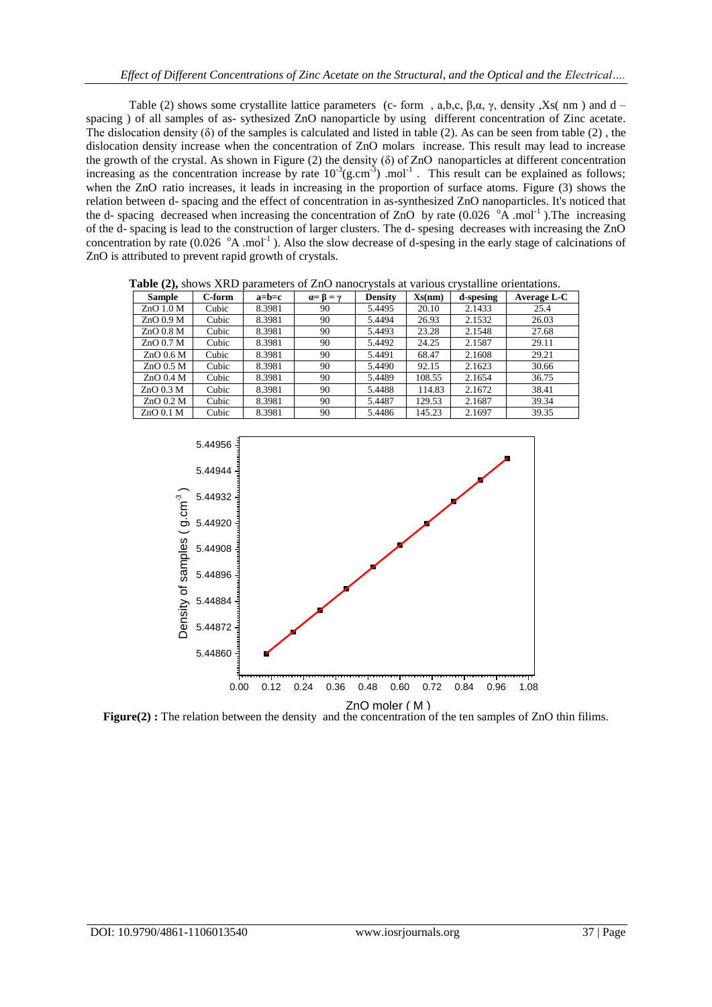Table (2) shows some crystallite lattice parameters (c- form , a,b,c,  $\beta$ , $\alpha$ ,  $\gamma$ , density ,Xs( nm ) and d – spacing ) of all samples of as- sythesized ZnO nanoparticle by using different concentration of Zinc acetate. The dislocation density  $(\delta)$  of the samples is calculated and listed in table (2). As can be seen from table (2), the dislocation density increase when the concentration of ZnO molars increase. This result may lead to increase the growth of the crystal. As shown in Figure (2) the density ( $\delta$ ) of ZnO nanoparticles at different concentration increasing as the concentration increase by rate  $10^{-3}$  (g.cm<sup>-3</sup>) .mol<sup>-1</sup>. This result can be explained as follows; when the ZnO ratio increases, it leads in increasing in the proportion of surface atoms. Figure (3) shows the relation between d- spacing and the effect of concentration in as-synthesized ZnO nanoparticles. It's noticed that the d- spacing decreased when increasing the concentration of ZnO by rate  $(0.026 \text{ }^{\circ} \text{A} \cdot \text{mol}^{-1})$ . The increasing of the d- spacing is lead to the construction of larger clusters. The d- spesing decreases with increasing the ZnO concentration by rate  $(0.026 \text{ }^{\circ}A \text{ }mod^{-1})$ . Also the slow decrease of d-spesing in the early stage of calcinations of ZnO is attributed to prevent rapid growth of crystals.

| $\sim$ $\prime$ $\prime$ |        |         |                           |                |        |           |             |
|--------------------------|--------|---------|---------------------------|----------------|--------|-----------|-------------|
| <b>Sample</b>            | C-form | $a=b=c$ | $\alpha = \beta = \gamma$ | <b>Density</b> | Xs(nm) | d-spesing | Average L-C |
| $ZnO$ 1.0 M              | Cubic  | 8.3981  | 90                        | 5.4495         | 20.10  | 2.1433    | 25.4        |
| $ZnO$ 0.9 M              | Cubic  | 8.3981  | 90                        | 5.4494         | 26.93  | 2.1532    | 26.03       |
| $ZnO$ 0.8 M              | Cubic  | 8.3981  | 90                        | 5.4493         | 23.28  | 2.1548    | 27.68       |
| $ZnO$ 0.7 M              | Cubic  | 8.3981  | 90                        | 5.4492         | 24.25  | 2.1587    | 29.11       |
| $ZnO$ 0.6 M              | Cubic  | 8.3981  | 90                        | 5.4491         | 68.47  | 2.1608    | 29.21       |
| $ZnO$ 0.5 M              | Cubic  | 8.3981  | 90                        | 5.4490         | 92.15  | 2.1623    | 30.66       |
| $ZnO$ 0.4 M              | Cubic  | 8.3981  | 90                        | 5.4489         | 108.55 | 2.1654    | 36.75       |
| $ZnO$ 0.3 M              | Cubic  | 8.3981  | 90                        | 5.4488         | 114.83 | 2.1672    | 38.41       |
| $ZnO$ 0.2 M              | Cubic  | 8.3981  | 90                        | 5.4487         | 129.53 | 2.1687    | 39.34       |
| $ZnO$ 0.1 M              | Cubic  | 8.3981  | 90                        | 5.4486         | 145.23 | 2.1697    | 39.35       |

**Table (2),** shows XRD parameters of ZnO nanocrystals at various crystalline orientations.

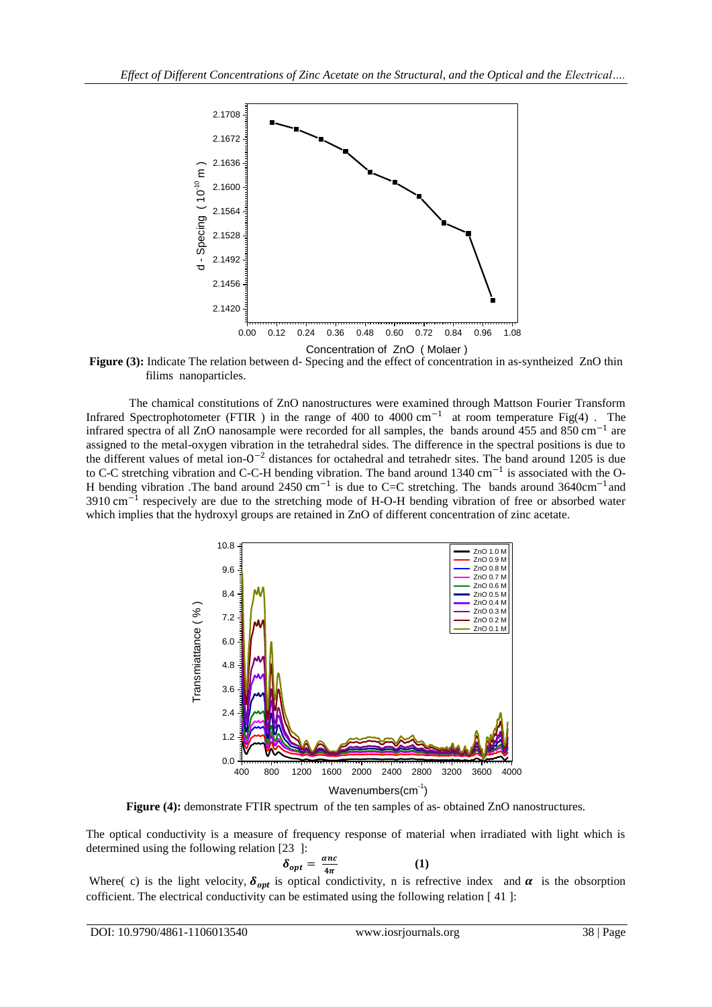

**Figure (3):** Indicate The relation between d- Specing and the effect of concentration in as-syntheized ZnO thin filims nanoparticles.

The chamical constitutions of ZnO nanostructures were examined through Mattson Fourier Transform Infrared Spectrophotometer (FTIR) in the range of 400 to 4000 cm<sup>-1</sup> at room temperature Fig(4). The infrared spectra of all ZnO nanosample were recorded for all samples, the bands around 455 and 850 cm<sup>−</sup><sup>1</sup> are assigned to the metal-oxygen vibration in the tetrahedral sides. The difference in the spectral positions is due to the different values of metal ion- $0^{-2}$  distances for octahedral and tetrahedr sites. The band around 1205 is due to C-C stretching vibration and C-C-H bending vibration. The band around 1340 cm<sup>-1</sup> is associated with the O-H bending vibration .The band around 2450 cm<sup>-1</sup> is due to C=C stretching. The bands around 3640cm<sup>-1</sup> and 3910 cm<sup>-1</sup> respecively are due to the stretching mode of H-O-H bending vibration of free or absorbed water which implies that the hydroxyl groups are retained in ZnO of different concentration of zinc acetate.



**Figure (4):** demonstrate FTIR spectrum of the ten samples of as- obtained ZnO nanostructures.

The optical conductivity is a measure of frequency response of material when irradiated with light which is determined using the following relation [23 ]:

$$
\delta_{opt} = \frac{anc}{4\pi} \tag{1}
$$

Where( c) is the light velocity,  $\delta_{opt}$  is optical condictivity, n is refrective index and  $\alpha$  is the obsorption cofficient. The electrical conductivity can be estimated using the following relation [ 41 ]: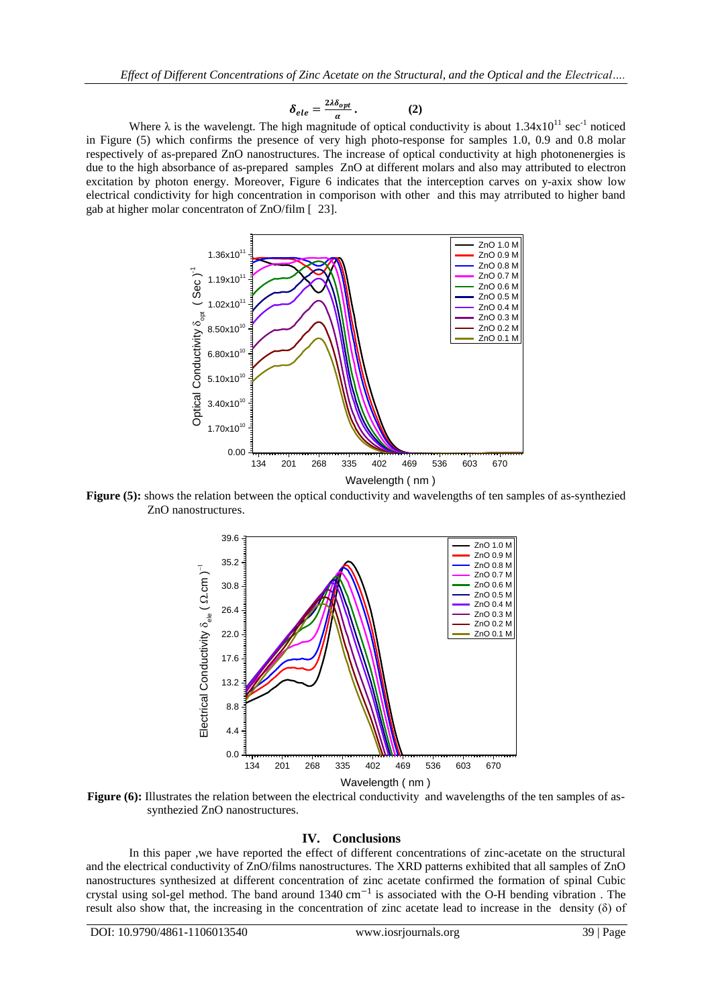$$
\delta_{ele} = \frac{2\lambda \delta_{opt}}{a} \,. \tag{2}
$$

Where  $\lambda$  is the wavelengt. The high magnitude of optical conductivity is about 1.34x10<sup>11</sup> sec<sup>-1</sup> noticed in Figure (5) which confirms the presence of very high photo-response for samples 1.0, 0.9 and 0.8 molar respectively of as-prepared ZnO nanostructures. The increase of optical conductivity at high photonenergies is due to the high absorbance of as-prepared samples ZnO at different molars and also may attributed to electron excitation by photon energy. Moreover, Figure 6 indicates that the interception carves on y-axix show low electrical condictivity for high concentration in comporison with other and this may atrributed to higher band gab at higher molar concentraton of ZnO/film [ 23].



**Figure** (5): shows the relation between the optical conductivity and wavelengths of ten samples of as-synthezied ZnO nanostructures.



**Figure** (6): Illustrates the relation between the electrical conductivity and wavelengths of the ten samples of assynthezied ZnO nanostructures.

### **IV. Conclusions**

In this paper ,we have reported the effect of different concentrations of zinc-acetate on the structural and the electrical conductivity of ZnO/films nanostructures. The XRD patterns exhibited that all samples of ZnO nanostructures synthesized at different concentration of zinc acetate confirmed the formation of spinal Cubic crystal using sol-gel method. The band around 1340 cm<sup>-1</sup> is associated with the O-H bending vibration. The result also show that, the increasing in the concentration of zinc acetate lead to increase in the density (δ) of